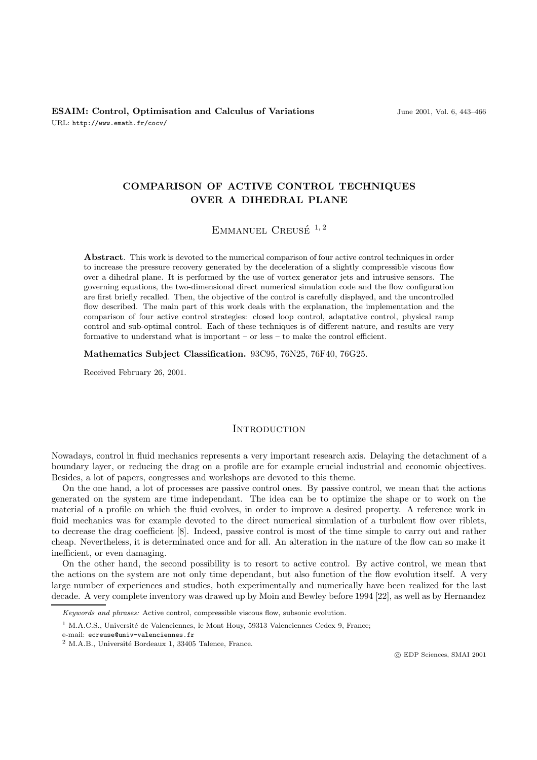# **COMPARISON OF ACTIVE CONTROL TECHNIQUES OVER A DIHEDRAL PLANE**

EMMANUEL CREUSÉ<sup> $1, 2$ </sup>

**Abstract**. This work is devoted to the numerical comparison of four active control techniques in order to increase the pressure recovery generated by the deceleration of a slightly compressible viscous flow over a dihedral plane. It is performed by the use of vortex generator jets and intrusive sensors. The governing equations, the two-dimensional direct numerical simulation code and the flow configuration are first briefly recalled. Then, the objective of the control is carefully displayed, and the uncontrolled flow described. The main part of this work deals with the explanation, the implementation and the comparison of four active control strategies: closed loop control, adaptative control, physical ramp control and sub-optimal control. Each of these techniques is of different nature, and results are very formative to understand what is important – or less – to make the control efficient.

**Mathematics Subject Classification.** 93C95, 76N25, 76F40, 76G25.

Received February 26, 2001.

# **INTRODUCTION**

Nowadays, control in fluid mechanics represents a very important research axis. Delaying the detachment of a boundary layer, or reducing the drag on a profile are for example crucial industrial and economic objectives. Besides, a lot of papers, congresses and workshops are devoted to this theme.

On the one hand, a lot of processes are passive control ones. By passive control, we mean that the actions generated on the system are time independant. The idea can be to optimize the shape or to work on the material of a profile on which the fluid evolves, in order to improve a desired property. A reference work in fluid mechanics was for example devoted to the direct numerical simulation of a turbulent flow over riblets, to decrease the drag coefficient [8]. Indeed, passive control is most of the time simple to carry out and rather cheap. Nevertheless, it is determinated once and for all. An alteration in the nature of the flow can so make it inefficient, or even damaging.

On the other hand, the second possibility is to resort to active control. By active control, we mean that the actions on the system are not only time dependant, but also function of the flow evolution itself. A very large number of experiences and studies, both experimentally and numerically have been realized for the last decade. A very complete inventory was drawed up by Moin and Bewley before 1994 [22], as well as by Hernandez

Keywords and phrases: Active control, compressible viscous flow, subsonic evolution.

<sup>&</sup>lt;sup>1</sup> M.A.C.S., Université de Valenciennes, le Mont Houy, 59313 Valenciennes Cedex 9, France;

e-mail: ecreuse@univ-valenciennes.fr

 $2$  M.A.B., Université Bordeaux 1, 33405 Talence, France.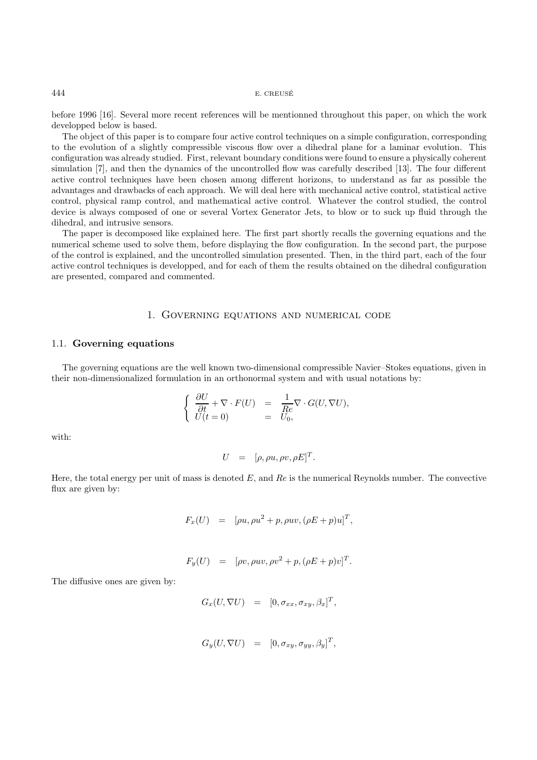#### 444 E. CREUSE´

before 1996 [16]. Several more recent references will be mentionned throughout this paper, on which the work developped below is based.

The object of this paper is to compare four active control techniques on a simple configuration, corresponding to the evolution of a slightly compressible viscous flow over a dihedral plane for a laminar evolution. This configuration was already studied. First, relevant boundary conditions were found to ensure a physically coherent simulation [7], and then the dynamics of the uncontrolled flow was carefully described [13]. The four different active control techniques have been chosen among different horizons, to understand as far as possible the advantages and drawbacks of each approach. We will deal here with mechanical active control, statistical active control, physical ramp control, and mathematical active control. Whatever the control studied, the control device is always composed of one or several Vortex Generator Jets, to blow or to suck up fluid through the dihedral, and intrusive sensors.

The paper is decomposed like explained here. The first part shortly recalls the governing equations and the numerical scheme used to solve them, before displaying the flow configuration. In the second part, the purpose of the control is explained, and the uncontrolled simulation presented. Then, in the third part, each of the four active control techniques is developped, and for each of them the results obtained on the dihedral configuration are presented, compared and commented.

#### 1. Governing equations and numerical code

### 1.1. **Governing equations**

The governing equations are the well known two-dimensional compressible Navier–Stokes equations, given in their non-dimensionalized formulation in an orthonormal system and with usual notations by:

$$
\begin{cases}\n\frac{\partial U}{\partial t} + \nabla \cdot F(U) &= \frac{1}{Re} \nabla \cdot G(U, \nabla U), \\
U(t = 0) &= U_0,\n\end{cases}
$$

with:

$$
U = [\rho, \rho u, \rho v, \rho E]^T.
$$

Here, the total energy per unit of mass is denoted  $E$ , and  $Re$  is the numerical Reynolds number. The convective flux are given by:

$$
F_x(U) = [\rho u, \rho u^2 + p, \rho u v, (\rho E + p) u]^T,
$$

$$
F_y(U) = [\rho v, \rho u v, \rho v^2 + p, (\rho E + p) v]^T.
$$

The diffusive ones are given by:

$$
G_x(U, \nabla U) = [0, \sigma_{xx}, \sigma_{xy}, \beta_x]^T,
$$

$$
G_y(U,\nabla U) = [0,\sigma_{xy},\sigma_{yy},\beta_y]^T,
$$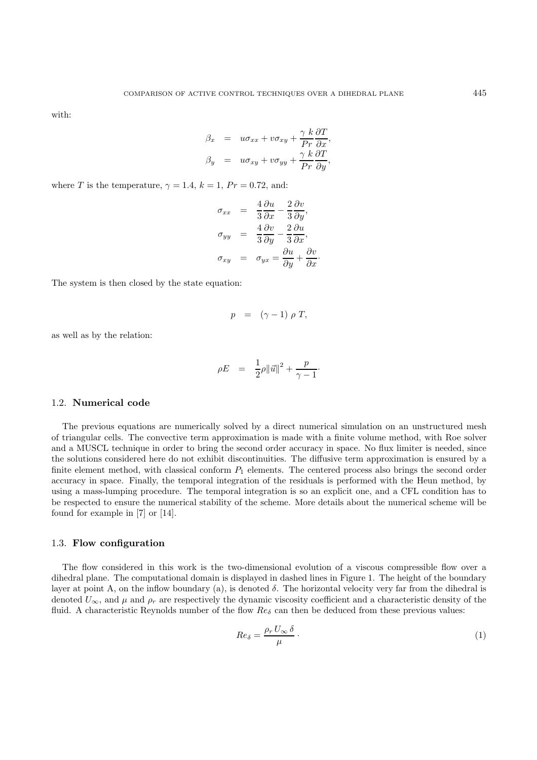with:

$$
\beta_x = u\sigma_{xx} + v\sigma_{xy} + \frac{\gamma k}{Pr} \frac{\partial T}{\partial x},
$$
  

$$
\beta_y = u\sigma_{xy} + v\sigma_{yy} + \frac{\gamma k}{Pr} \frac{\partial T}{\partial y},
$$

where T is the temperature,  $\gamma = 1.4$ ,  $k = 1$ ,  $Pr = 0.72$ , and:

$$
\sigma_{xx} = \frac{4}{3} \frac{\partial u}{\partial x} - \frac{2}{3} \frac{\partial v}{\partial y},
$$
  
\n
$$
\sigma_{yy} = \frac{4}{3} \frac{\partial v}{\partial y} - \frac{2}{3} \frac{\partial u}{\partial x},
$$
  
\n
$$
\sigma_{xy} = \sigma_{yx} = \frac{\partial u}{\partial y} + \frac{\partial v}{\partial x}.
$$

The system is then closed by the state equation:

$$
p = (\gamma - 1) \rho T,
$$

as well as by the relation:

$$
\rho E = \frac{1}{2}\rho ||\vec{u}||^2 + \frac{p}{\gamma - 1}.
$$

### 1.2. **Numerical code**

The previous equations are numerically solved by a direct numerical simulation on an unstructured mesh of triangular cells. The convective term approximation is made with a finite volume method, with Roe solver and a MUSCL technique in order to bring the second order accuracy in space. No flux limiter is needed, since the solutions considered here do not exhibit discontinuities. The diffusive term approximation is ensured by a finite element method, with classical conform  $P_1$  elements. The centered process also brings the second order accuracy in space. Finally, the temporal integration of the residuals is performed with the Heun method, by using a mass-lumping procedure. The temporal integration is so an explicit one, and a CFL condition has to be respected to ensure the numerical stability of the scheme. More details about the numerical scheme will be found for example in [7] or [14].

### 1.3. **Flow configuration**

The flow considered in this work is the two-dimensional evolution of a viscous compressible flow over a dihedral plane. The computational domain is displayed in dashed lines in Figure 1. The height of the boundary layer at point A, on the inflow boundary (a), is denoted  $\delta$ . The horizontal velocity very far from the dihedral is denoted  $U_{\infty}$ , and  $\mu$  and  $\rho_r$  are respectively the dynamic viscosity coefficient and a characteristic density of the fluid. A characteristic Reynolds number of the flow  $Re_{\delta}$  can then be deduced from these previous values:

$$
Re_{\delta} = \frac{\rho_r U_{\infty} \delta}{\mu} \,. \tag{1}
$$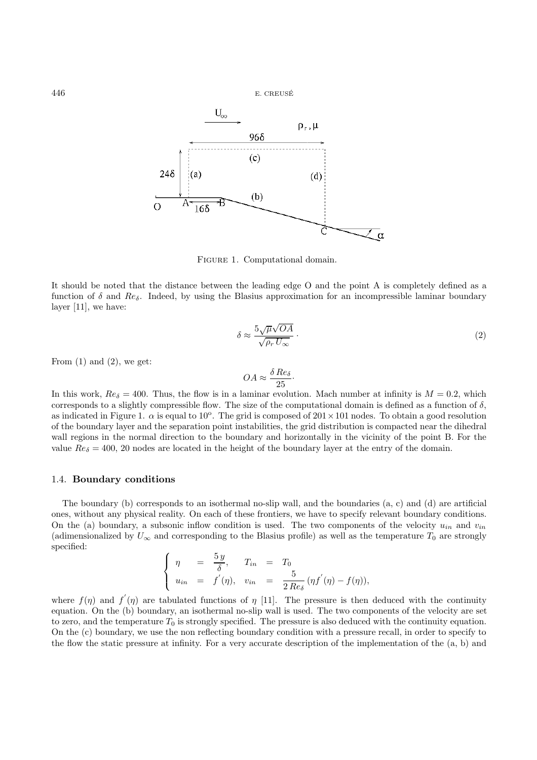446 E. CREUSE´



Figure 1. Computational domain.

It should be noted that the distance between the leading edge O and the point A is completely defined as a function of  $\delta$  and  $Re_{\delta}$ . Indeed, by using the Blasius approximation for an incompressible laminar boundary layer [11], we have:

$$
\delta \approx \frac{5\sqrt{\mu}\sqrt{OA}}{\sqrt{\rho_r U_{\infty}}} \,. \tag{2}
$$

From  $(1)$  and  $(2)$ , we get:

$$
OA \approx \frac{\delta \, Re_{\delta}}{25}.
$$

In this work,  $Re_{\delta} = 400$ . Thus, the flow is in a laminar evolution. Mach number at infinity is  $M = 0.2$ , which corresponds to a slightly compressible flow. The size of the computational domain is defined as a function of  $\delta$ , as indicated in Figure 1.  $\alpha$  is equal to 10<sup>o</sup>. The grid is composed of  $201 \times 101$  nodes. To obtain a good resolution of the boundary layer and the separation point instabilities, the grid distribution is compacted near the dihedral wall regions in the normal direction to the boundary and horizontally in the vicinity of the point B. For the value  $Re_\delta = 400$ , 20 nodes are located in the height of the boundary layer at the entry of the domain.

# 1.4. **Boundary conditions**

The boundary (b) corresponds to an isothermal no-slip wall, and the boundaries (a, c) and (d) are artificial ones, without any physical reality. On each of these frontiers, we have to specify relevant boundary conditions. On the (a) boundary, a subsonic inflow condition is used. The two components of the velocity  $u_{in}$  and  $v_{in}$ (adimensionalized by  $U_{\infty}$  and corresponding to the Blasius profile) as well as the temperature  $T_0$  are strongly specified:

$$
\begin{cases}\n\eta = \frac{5y}{\delta}, & T_{in} = T_0 \\
u_{in} = f'(\eta), & v_{in} = \frac{5}{2Re_{\delta}}(\eta f'(\eta) - f(\eta)),\n\end{cases}
$$

where  $f(\eta)$  and  $f'(\eta)$  are tabulated functions of  $\eta$  [11]. The pressure is then deduced with the continuity equation. On the (b) boundary, an isothermal no-slip wall is used. The two components of the velocity are set to zero, and the temperature  $T_0$  is strongly specified. The pressure is also deduced with the continuity equation. On the (c) boundary, we use the non reflecting boundary condition with a pressure recall, in order to specify to the flow the static pressure at infinity. For a very accurate description of the implementation of the (a, b) and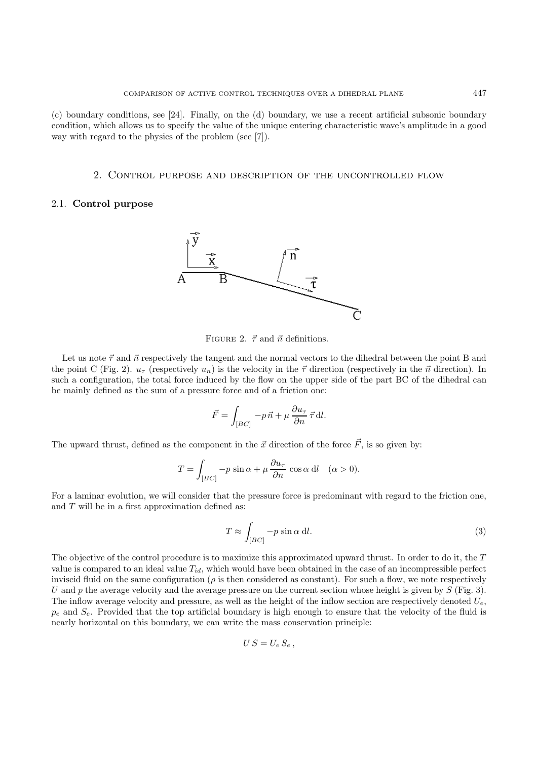(c) boundary conditions, see [24]. Finally, on the (d) boundary, we use a recent artificial subsonic boundary condition, which allows us to specify the value of the unique entering characteristic wave's amplitude in a good way with regard to the physics of the problem (see [7]).

# 2. Control purpose and description of the uncontrolled flow

# 2.1. **Control purpose**



FIGURE 2.  $\vec{\tau}$  and  $\vec{n}$  definitions.

Let us note  $\vec{\tau}$  and  $\vec{n}$  respectively the tangent and the normal vectors to the dihedral between the point B and the point C (Fig. 2).  $u_{\tau}$  (respectively  $u_n$ ) is the velocity in the  $\vec{\tau}$  direction (respectively in the  $\vec{n}$  direction). In such a configuration, the total force induced by the flow on the upper side of the part BC of the dihedral can be mainly defined as the sum of a pressure force and of a friction one:

$$
\vec{F} = \int_{[BC]} -p\,\vec{n} + \mu\,\frac{\partial u_\tau}{\partial n}\,\vec{\tau}\,\text{d}l.
$$

The upward thrust, defined as the component in the  $\vec{x}$  direction of the force  $\vec{F}$ , is so given by:

$$
T = \int_{[BC]} -p\sin\alpha + \mu \frac{\partial u_{\tau}}{\partial n} \cos\alpha \, \mathrm{d}l \quad (\alpha > 0).
$$

For a laminar evolution, we will consider that the pressure force is predominant with regard to the friction one, and  $T$  will be in a first approximation defined as:

$$
T \approx \int_{[BC]} -p\sin\alpha \, \mathrm{d}l. \tag{3}
$$

The objective of the control procedure is to maximize this approximated upward thrust. In order to do it, the T value is compared to an ideal value  $T_{id}$ , which would have been obtained in the case of an incompressible perfect inviscid fluid on the same configuration ( $\rho$  is then considered as constant). For such a flow, we note respectively U and p the average velocity and the average pressure on the current section whose height is given by  $S$  (Fig. 3). The inflow average velocity and pressure, as well as the height of the inflow section are respectively denoted  $U_e$ ,  $p_e$  and  $S_e$ . Provided that the top artificial boundary is high enough to ensure that the velocity of the fluid is nearly horizontal on this boundary, we can write the mass conservation principle:

$$
U S = U_e S_e,
$$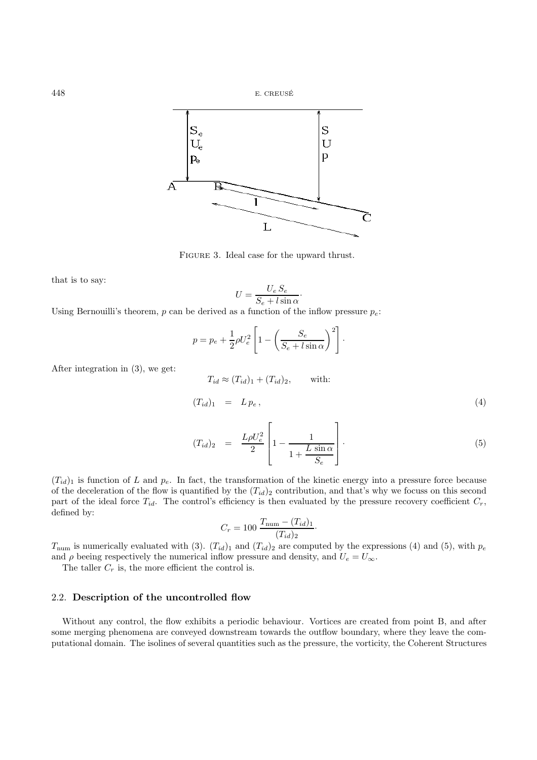

FIGURE 3. Ideal case for the upward thrust.

that is to say:

$$
U = \frac{U_e S_e}{S_e + l \sin \alpha}.
$$

Using Bernouilli's theorem, p can be derived as a function of the inflow pressure  $p_e$ .

$$
p = p_e + \frac{1}{2}\rho U_e^2 \left[ 1 - \left( \frac{S_e}{S_e + l \sin \alpha} \right)^2 \right].
$$

After integration in (3), we get:

$$
T_{id} \approx (T_{id})_1 + (T_{id})_2, \qquad \text{with:}
$$
  

$$
(T_{id})_1 = L p_e,
$$
 (4)

$$
(T_{id})_2 = \frac{L\rho U_e^2}{2} \left[ 1 - \frac{1}{1 + \frac{L\sin\alpha}{S_e}} \right].
$$
 (5)

 $(T_{id})_1$  is function of L and  $p_e$ . In fact, the transformation of the kinetic energy into a pressure force because of the deceleration of the flow is quantified by the  $(T_{id})_2$  contribution, and that's why we focuss on this second part of the ideal force  $T_{id}$ . The control's efficiency is then evaluated by the pressure recovery coefficient  $C_r$ , defined by:

$$
C_r = 100 \, \frac{T_{\text{num}} - (T_{id})_1}{(T_{id})_2}.
$$

 $T_{\text{num}}$  is numerically evaluated with (3).  $(T_{id})_1$  and  $(T_{id})_2$  are computed by the expressions (4) and (5), with  $p_e$ and  $\rho$  beeing respectively the numerical inflow pressure and density, and  $U_e = U_{\infty}$ .

The taller  $C_r$  is, the more efficient the control is.

### 2.2. **Description of the uncontrolled flow**

Without any control, the flow exhibits a periodic behaviour. Vortices are created from point B, and after some merging phenomena are conveyed downstream towards the outflow boundary, where they leave the computational domain. The isolines of several quantities such as the pressure, the vorticity, the Coherent Structures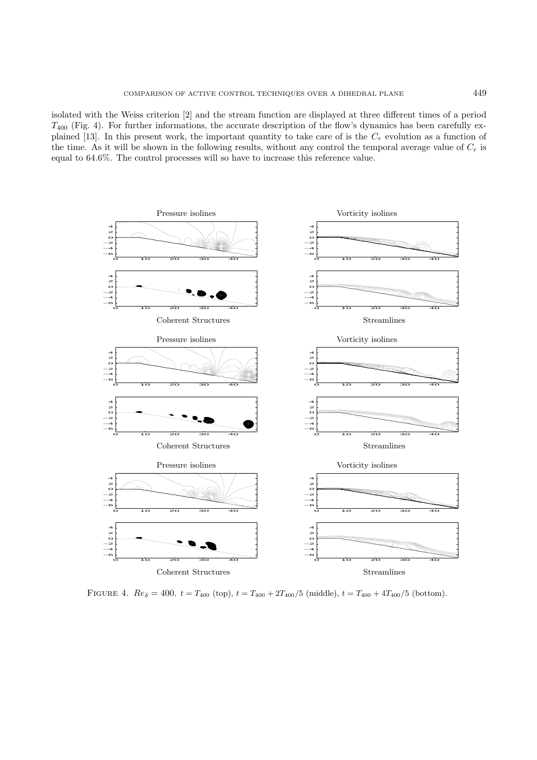isolated with the Weiss criterion [2] and the stream function are displayed at three different times of a period  $T_{400}$  (Fig. 4). For further informations, the accurate description of the flow's dynamics has been carefully explained [13]. In this present work, the important quantity to take care of is the  $C_r$  evolution as a function of the time. As it will be shown in the following results, without any control the temporal average value of  $C_r$  is equal to 64.6%. The control processes will so have to increase this reference value.



FIGURE 4.  $Re_{\delta} = 400. t = T_{400} (\text{top}), t = T_{400} + 2T_{400}/5 \text{ (middle)}, t = T_{400} + 4T_{400}/5 \text{ (bottom)}.$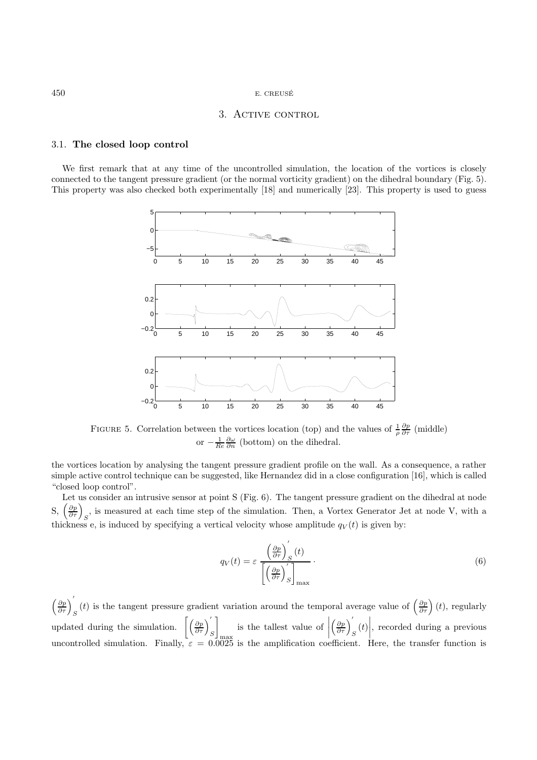#### $450$  E. CREUSÉ

# 3. ACTIVE CONTROL

### 3.1. **The closed loop control**

We first remark that at any time of the uncontrolled simulation, the location of the vortices is closely connected to the tangent pressure gradient (or the normal vorticity gradient) on the dihedral boundary (Fig. 5). This property was also checked both experimentally [18] and numerically [23]. This property is used to guess



FIGURE 5. Correlation between the vortices location (top) and the values of  $\frac{1}{\rho} \frac{\partial p}{\partial \tau}$  (middle) or  $-\frac{1}{Re}\frac{\partial \omega}{\partial n}$  (bottom) on the dihedral.

the vortices location by analysing the tangent pressure gradient profile on the wall. As a consequence, a rather simple active control technique can be suggested, like Hernandez did in a close configuration [16], which is called "closed loop control".

Let us consider an intrusive sensor at point S (Fig. 6). The tangent pressure gradient on the dihedral at node S,  $\left(\frac{\partial p}{\partial \tau}\right)_S$ , is measured at each time step of the simulation. Then, a Vortex Generator Jet at node V, with a thickness e, is induced by specifying a vertical velocity whose amplitude  $q_V(t)$  is given by:

$$
q_V(t) = \varepsilon \frac{\left(\frac{\partial p}{\partial \tau}\right)'_S(t)}{\left[\left(\frac{\partial p}{\partial \tau}\right)'_S\right]_{\text{max}}}.
$$
\n(6)

 $\left(\frac{\partial p}{\partial \tau}\right)'_S(t)$  is the tangent pressure gradient variation around the temporal average value of  $\left(\frac{\partial p}{\partial \tau}\right)(t)$ , regularly updated during the simulation.  $\left[\left(\frac{\partial p}{\partial \tau}\right)_{S}^{'}\right]$ 1 max is the tallest value of  $\begin{array}{|c|c|} \hline \multicolumn{1}{|c|}{3} & \multicolumn{1}{|c|}{4} \multicolumn{1}{|c|}{5} \multicolumn{1}{|c|}{6} \multicolumn{1}{|c|}{6} \multicolumn{1}{|c|}{6} \multicolumn{1}{|c|}{6} \multicolumn{1}{|c|}{6} \multicolumn{1}{|c|}{6} \multicolumn{1}{|c|}{6} \multicolumn{1}{|c|}{6} \multicolumn{1}{|c|}{6} \multicolumn{1}{|c|}{6} \multicolumn{1}{|c|}{6} \multicolumn{1}{|c|}{6} \multicolumn{1}{|c|$  $\left(\frac{\partial p}{\partial \tau}\right)'_S(t)$  , recorded during a previous uncontrolled simulation. Finally,  $\varepsilon = 0.0025$  is the amplification coefficient. Here, the transfer function is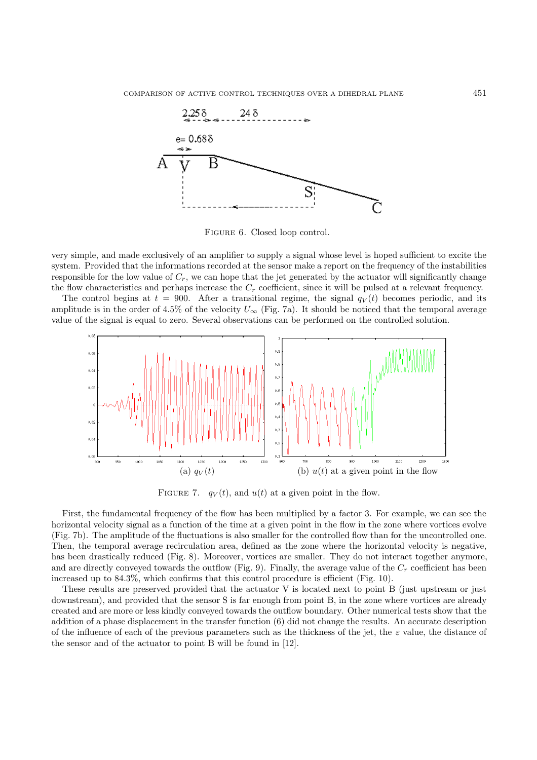

Figure 6. Closed loop control.

very simple, and made exclusively of an amplifier to supply a signal whose level is hoped sufficient to excite the system. Provided that the informations recorded at the sensor make a report on the frequency of the instabilities responsible for the low value of  $C_r$ , we can hope that the jet generated by the actuator will significantly change the flow characteristics and perhaps increase the  $C_r$  coefficient, since it will be pulsed at a relevant frequency.

The control begins at  $t = 900$ . After a transitional regime, the signal  $q_V(t)$  becomes periodic, and its amplitude is in the order of 4.5% of the velocity  $U_{\infty}$  (Fig. 7a). It should be noticed that the temporal average value of the signal is equal to zero. Several observations can be performed on the controlled solution.



FIGURE 7.  $q_V(t)$ , and  $u(t)$  at a given point in the flow.

First, the fundamental frequency of the flow has been multiplied by a factor 3. For example, we can see the horizontal velocity signal as a function of the time at a given point in the flow in the zone where vortices evolve (Fig. 7b). The amplitude of the fluctuations is also smaller for the controlled flow than for the uncontrolled one. Then, the temporal average recirculation area, defined as the zone where the horizontal velocity is negative, has been drastically reduced (Fig. 8). Moreover, vortices are smaller. They do not interact together anymore, and are directly conveyed towards the outflow (Fig. 9). Finally, the average value of the  $C_r$  coefficient has been increased up to 84.3%, which confirms that this control procedure is efficient (Fig. 10).

These results are preserved provided that the actuator V is located next to point B (just upstream or just downstream), and provided that the sensor S is far enough from point B, in the zone where vortices are already created and are more or less kindly conveyed towards the outflow boundary. Other numerical tests show that the addition of a phase displacement in the transfer function (6) did not change the results. An accurate description of the influence of each of the previous parameters such as the thickness of the jet, the  $\varepsilon$  value, the distance of the sensor and of the actuator to point B will be found in [12].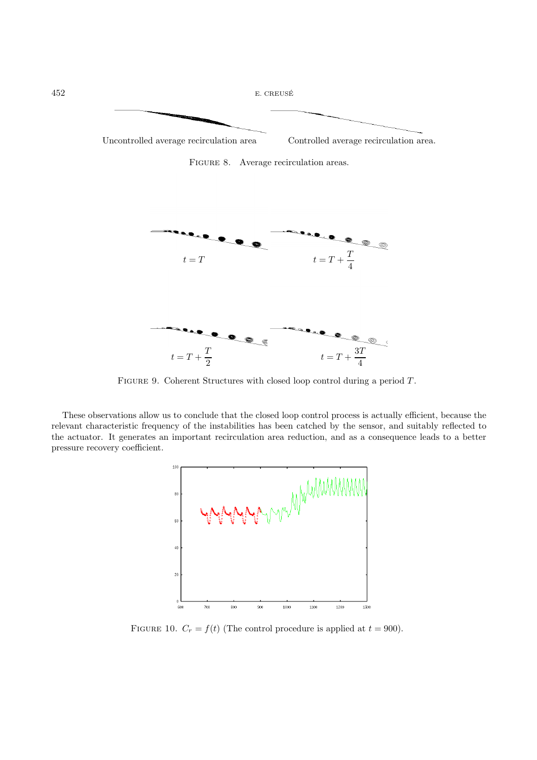

FIGURE 8. Average recirculation areas.



FIGURE 9. Coherent Structures with closed loop control during a period  $T$ .

These observations allow us to conclude that the closed loop control process is actually efficient, because the relevant characteristic frequency of the instabilities has been catched by the sensor, and suitably reflected to the actuator. It generates an important recirculation area reduction, and as a consequence leads to a better pressure recovery coefficient.



FIGURE 10.  $C_r = f(t)$  (The control procedure is applied at  $t = 900$ ).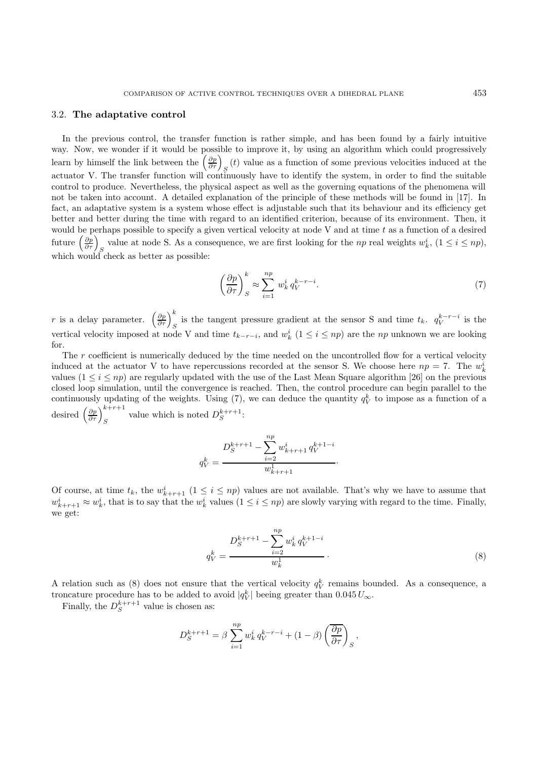### 3.2. **The adaptative control**

In the previous control, the transfer function is rather simple, and has been found by a fairly intuitive way. Now, we wonder if it would be possible to improve it, by using an algorithm which could progressively learn by himself the link between the  $\left(\frac{\partial p}{\partial \tau}\right)$  (t) value as a function of some previous velocities induced at the actuator V. The transfer function will continuously have to identify the system, in order to find the suitable control to produce. Nevertheless, the physical aspect as well as the governing equations of the phenomena will not be taken into account. A detailed explanation of the principle of these methods will be found in [17]. In fact, an adaptative system is a system whose effect is adjustable such that its behaviour and its efficiency get better and better during the time with regard to an identified criterion, because of its environment. Then, it would be perhaps possible to specify a given vertical velocity at node V and at time  $t$  as a function of a desired future  $\left(\frac{\partial p}{\partial \tau}\right)_S$  value at node S. As a consequence, we are first looking for the np real weights  $w_k^i$ ,  $(1 \le i \le np)$ , which would check as better as possible:

$$
\left(\frac{\partial p}{\partial \tau}\right)^k_S \approx \sum_{i=1}^{np} w_k^i q_V^{k-r-i}.\tag{7}
$$

r is a delay parameter.  $\left(\frac{\partial p}{\partial \tau}\right)^k_S$  is the tangent pressure gradient at the sensor S and time  $t_k$ .  $q_V^{k-r-i}$  is the vertical velocity imposed at node V and time  $t_{k-r-i}$ , and  $w_k^i$   $(1 \leq i \leq np)$  are the np unknown we are looking for.

The  $r$  coefficient is numerically deduced by the time needed on the uncontrolled flow for a vertical velocity induced at the actuator V to have repercussions recorded at the sensor S. We choose here  $np = 7$ . The  $w_k^i$ values  $(1 \leq i \leq np)$  are regularly updated with the use of the Last Mean Square algorithm [26] on the previous closed loop simulation, until the convergence is reached. Then, the control procedure can begin parallel to the continuously updating of the weights. Using (7), we can deduce the quantity  $q_V^k$  to impose as a function of a desired  $\left(\frac{\partial p}{\partial \tau}\right)_{S}^{k+r+1}$  value which is noted  $D_{S}^{k+r+1}$ :

$$
q_V^k = \frac{D_S^{k+r+1} - \sum_{i=2}^{np} w_{k+r+1}^i q_V^{k+1-i}}{w_{k+r+1}^1}.
$$

Of course, at time  $t_k$ , the  $w_{k+r+1}^i$   $(1 \leq i \leq np)$  values are not available. That's why we have to assume that  $w_{k+r+1}^i \approx w_k^i$ , that is to say that the  $w_k^i$  values  $(1 \leq i \leq np)$  are slowly varying with regard to the time. Finally, we get:

$$
q_V^k = \frac{D_S^{k+r+1} - \sum_{i=2}^{np} w_k^i q_V^{k+1-i}}{w_k^1} \tag{8}
$$

A relation such as (8) does not ensure that the vertical velocity  $q_V^k$  remains bounded. As a consequence, a troncature procedure has to be added to avoid  $|q_V^k|$  beeing greater than  $0.045 U_{\infty}$ .

Finally, the  $D_S^{k+r+1}$  value is chosen as:

$$
D_S^{k+r+1} = \beta \sum_{i=1}^{np} w_k^i q_V^{k-r-i} + (1-\beta) \left(\frac{\overline{\partial p}}{\partial \tau}\right)_S,
$$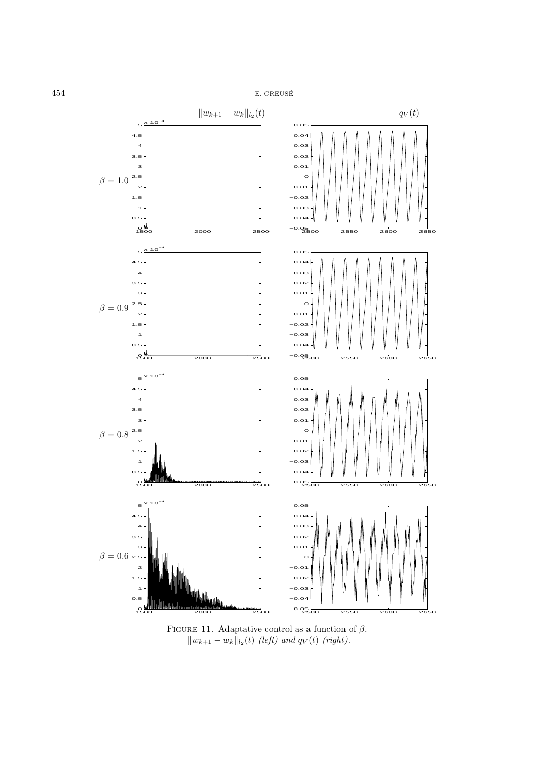

FIGURE 11. Adaptative control as a function of  $\beta$ .  $\|w_{k+1} - w_k\|_{l_2}(t)$  (left) and  $q_V(t)$  (right).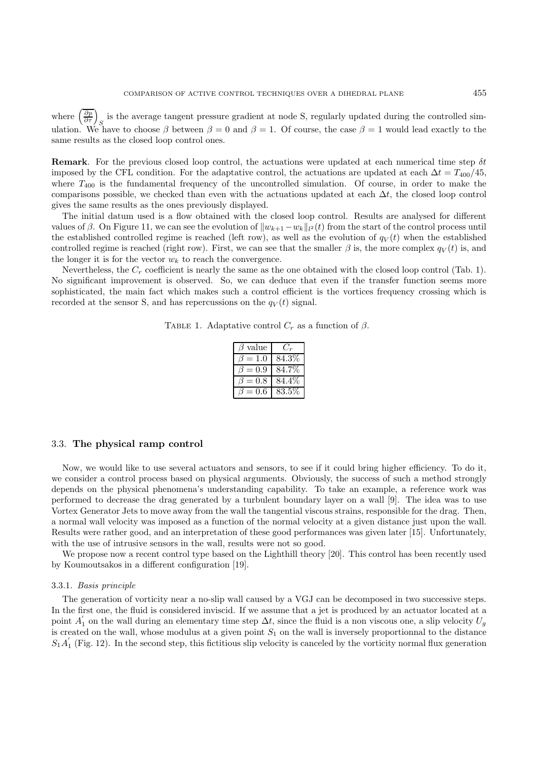where  $\left(\frac{\partial p}{\partial \tau}\right)$  is the average tangent pressure gradient at node S, regularly updated during the controlled simulation. We have to choose  $\beta$  between  $\beta = 0$  and  $\beta = 1$ . Of course, the case  $\beta = 1$  would lead exactly to the same results as the closed loop control ones.

**Remark**. For the previous closed loop control, the actuations were updated at each numerical time step  $\delta t$ imposed by the CFL condition. For the adaptative control, the actuations are updated at each  $\Delta t = T_{400}/45$ , where  $T_{400}$  is the fundamental frequency of the uncontrolled simulation. Of course, in order to make the comparisons possible, we checked than even with the actuations updated at each  $\Delta t$ , the closed loop control gives the same results as the ones previously displayed.

The initial datum used is a flow obtained with the closed loop control. Results are analysed for different values of β. On Figure 11, we can see the evolution of  $||w_{k+1}-w_k||_{l^2}(t)$  from the start of the control process until the established controlled regime is reached (left row), as well as the evolution of  $q_V(t)$  when the established controlled regime is reached (right row). First, we can see that the smaller  $\beta$  is, the more complex  $q_V(t)$  is, and the longer it is for the vector  $w_k$  to reach the convergence.

Nevertheless, the  $C_r$  coefficient is nearly the same as the one obtained with the closed loop control (Tab. 1). No significant improvement is observed. So, we can deduce that even if the transfer function seems more sophisticated, the main fact which makes such a control efficient is the vortices frequency crossing which is recorded at the sensor S, and has repercussions on the  $q_V(t)$  signal.

| value   |       |  |
|---------|-------|--|
| $= 1.0$ | 84.3% |  |
| $= 0.9$ | 84.7% |  |
| $= 0.8$ | 84.4% |  |
| በ 6     | 83.5% |  |

#### 3.3. **The physical ramp control**

Now, we would like to use several actuators and sensors, to see if it could bring higher efficiency. To do it, we consider a control process based on physical arguments. Obviously, the success of such a method strongly depends on the physical phenomena's understanding capability. To take an example, a reference work was performed to decrease the drag generated by a turbulent boundary layer on a wall [9]. The idea was to use Vortex Generator Jets to move away from the wall the tangential viscous strains, responsible for the drag. Then, a normal wall velocity was imposed as a function of the normal velocity at a given distance just upon the wall. Results were rather good, and an interpretation of these good performances was given later [15]. Unfortunately, with the use of intrusive sensors in the wall, results were not so good.

We propose now a recent control type based on the Lighthill theory [20]. This control has been recently used by Koumoutsakos in a different configuration [19].

#### 3.3.1. Basis principle

The generation of vorticity near a no-slip wall caused by a VGJ can be decomposed in two successive steps. In the first one, the fluid is considered inviscid. If we assume that a jet is produced by an actuator located at a point  $A_1'$  on the wall during an elementary time step  $\Delta t$ , since the fluid is a non viscous one, a slip velocity  $U_g$ is created on the wall, whose modulus at a given point  $S_1$  on the wall is inversely proportionnal to the distance  $S_1A_1'$  (Fig. 12). In the second step, this fictitious slip velocity is canceled by the vorticity normal flux generation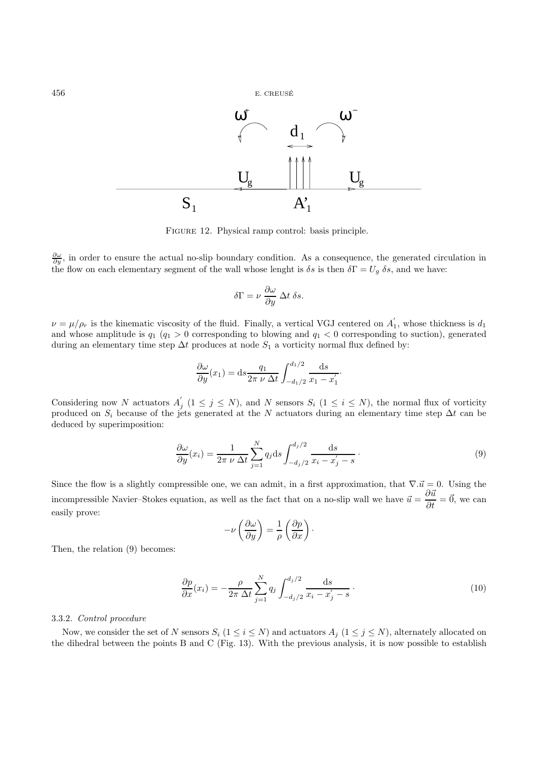

Figure 12. Physical ramp control: basis principle.

 $\frac{\partial \omega}{\partial y}$ , in order to ensure the actual no-slip boundary condition. As a consequence, the generated circulation in the flow on each elementary segment of the wall whose lenght is  $\delta s$  is then  $\delta \Gamma = U_g \delta s$ , and we have:

$$
\delta \Gamma = \nu \, \frac{\partial \omega}{\partial y} \, \Delta t \, \delta s.
$$

 $\nu = \mu/\rho_r$  is the kinematic viscosity of the fluid. Finally, a vertical VGJ centered on  $A'_1$ , whose thickness is  $d_1$ and whose amplitude is  $q_1$  ( $q_1 > 0$  corresponding to blowing and  $q_1 < 0$  corresponding to suction), generated during an elementary time step  $\Delta t$  produces at node  $S_1$  a vorticity normal flux defined by:

$$
\frac{\partial \omega}{\partial y}(x_1) = ds \frac{q_1}{2\pi \nu \Delta t} \int_{-d_1/2}^{d_1/2} \frac{ds}{x_1 - x_1'}.
$$

Considering now N actuators  $A'_j$   $(1 \leq j \leq N)$ , and N sensors  $S_i$   $(1 \leq i \leq N)$ , the normal flux of vorticity produced on  $S_i$  because of the jets generated at the N actuators during an elementary time step  $\Delta t$  can be deduced by superimposition:

$$
\frac{\partial \omega}{\partial y}(x_i) = \frac{1}{2\pi \nu \Delta t} \sum_{j=1}^{N} q_j \, \mathrm{d}s \int_{-d_j/2}^{d_j/2} \frac{\mathrm{d}s}{x_i - x'_j - s} \,. \tag{9}
$$

Since the flow is a slightly compressible one, we can admit, in a first approximation, that  $\nabla \cdot \vec{u} = 0$ . Using the incompressible Navier–Stokes equation, as well as the fact that on a no-slip wall we have  $\vec{u} = \frac{\partial \vec{u}}{\partial t} = \vec{0}$ , we can easily prove:

$$
-\nu\left(\frac{\partial\omega}{\partial y}\right) = \frac{1}{\rho}\left(\frac{\partial p}{\partial x}\right).
$$

Then, the relation (9) becomes:

$$
\frac{\partial p}{\partial x}(x_i) = -\frac{\rho}{2\pi \Delta t} \sum_{j=1}^{N} q_j \int_{-d_j/2}^{d_j/2} \frac{ds}{x_i - x'_j - s} \,. \tag{10}
$$

### 3.3.2. Control procedure

Now, we consider the set of N sensors  $S_i$   $(1 \le i \le N)$  and actuators  $A_j$   $(1 \le j \le N)$ , alternately allocated on the dihedral between the points B and C (Fig. 13). With the previous analysis, it is now possible to establish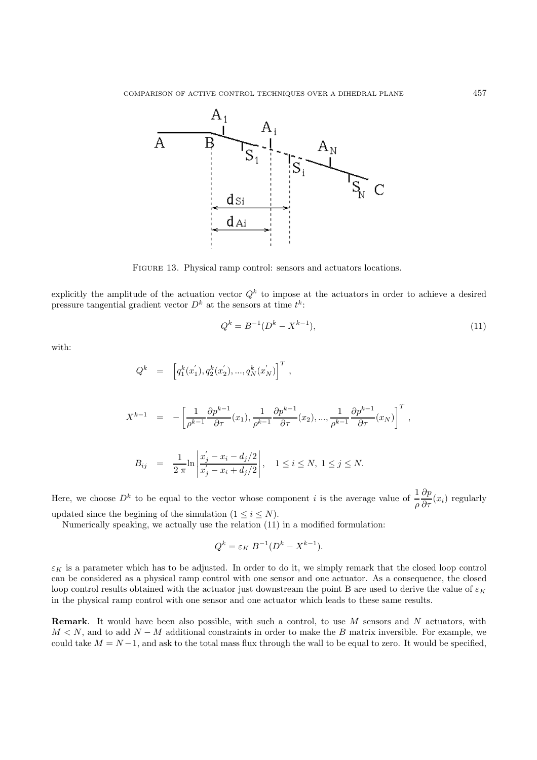

Figure 13. Physical ramp control: sensors and actuators locations.

explicitly the amplitude of the actuation vector  $Q^k$  to impose at the actuators in order to achieve a desired pressure tangential gradient vector  $D^k$  at the sensors at time  $t^k$ :

$$
Q^k = B^{-1}(D^k - X^{k-1}),
$$
\n(11)

with:

$$
Q^{k} = \left[ q_{1}^{k}(x_{1}^{'}), q_{2}^{k}(x_{2}^{'}), ..., q_{N}^{k}(x_{N}^{'}) \right]^{T},
$$
  
\n
$$
X^{k-1} = -\left[ \frac{1}{\rho^{k-1}} \frac{\partial p^{k-1}}{\partial \tau}(x_{1}), \frac{1}{\rho^{k-1}} \frac{\partial p^{k-1}}{\partial \tau}(x_{2}), ..., \frac{1}{\rho^{k-1}} \frac{\partial p^{k-1}}{\partial \tau}(x_{N}) \right]^{T},
$$
  
\n
$$
B_{ij} = \frac{1}{2 \pi} \ln \left| \frac{x_{j}^{'} - x_{i} - d_{j}/2}{x_{j}^{'} - x_{i} + d_{j}/2} \right|, \quad 1 \leq i \leq N, 1 \leq j \leq N.
$$

Here, we choose  $D^k$  to be equal to the vector whose component i is the average value of  $\frac{1}{\rho}$  $\frac{\partial p}{\partial \tau}(x_i)$  regularly updated since the begining of the simulation  $(1 \leq i \leq N)$ .

Numerically speaking, we actually use the relation (11) in a modified formulation:

$$
Q^k = \varepsilon_K B^{-1} (D^k - X^{k-1}).
$$

 $\varepsilon_K$  is a parameter which has to be adjusted. In order to do it, we simply remark that the closed loop control can be considered as a physical ramp control with one sensor and one actuator. As a consequence, the closed loop control results obtained with the actuator just downstream the point B are used to derive the value of  $\varepsilon_K$ in the physical ramp control with one sensor and one actuator which leads to these same results.

**Remark**. It would have been also possible, with such a control, to use M sensors and N actuators, with  $M < N$ , and to add  $N - M$  additional constraints in order to make the B matrix inversible. For example, we could take  $M = N - 1$ , and ask to the total mass flux through the wall to be equal to zero. It would be specified,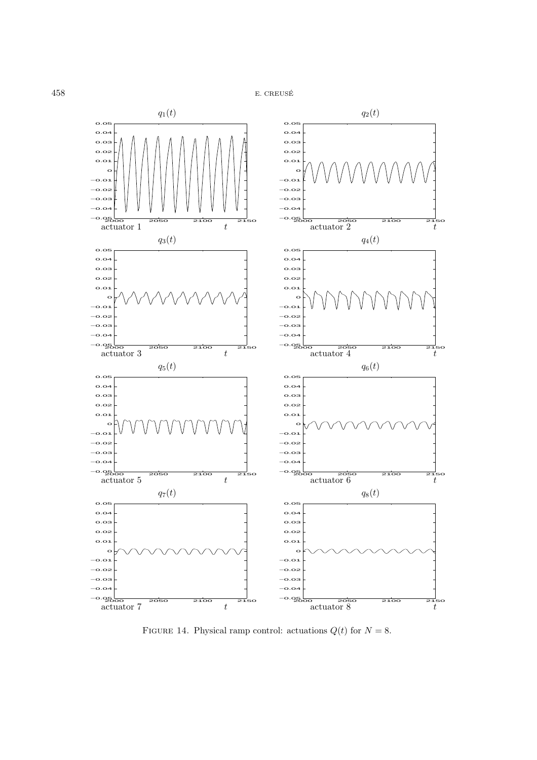

FIGURE 14. Physical ramp control: actuations  $Q(t)$  for  $N = 8$ .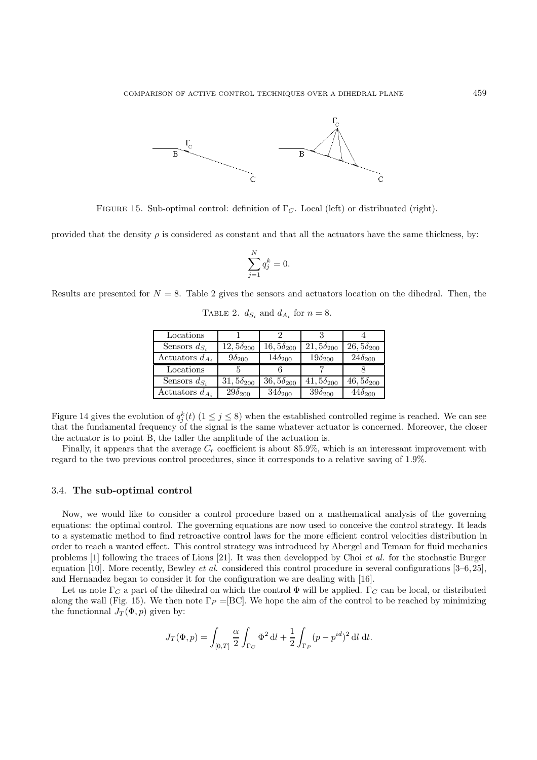

FIGURE 15. Sub-optimal control: definition of  $\Gamma_C$ . Local (left) or distribuated (right).

provided that the density  $\rho$  is considered as constant and that all the actuators have the same thickness, by:

$$
\sum_{j=1}^{N} q_j^k = 0.
$$

Results are presented for  $N = 8$ . Table 2 gives the sensors and actuators location on the dihedral. Then, the

TABLE 2.  $d_{S_i}$  and  $d_{A_i}$  for  $n = 8$ .

| Locations           |                    |                    |                                |                    |
|---------------------|--------------------|--------------------|--------------------------------|--------------------|
| Sensors $d_{S_i}$   | $12,5\delta_{200}$ | $16,5\delta_{200}$ | $21,5\delta_{200}$             | $26,5\delta_{200}$ |
| Actuators $d_{A_i}$ | $9\delta_{200}$    | $14\delta_{200}$   | $19\delta_{200}$               | $24\delta_{200}$   |
| Locations           |                    |                    |                                |                    |
| Sensors $d_{S_i}$   | $31,5\delta_{200}$ | $36,5\delta_{200}$ | $\overline{41}, 5\delta_{200}$ | $46,5\delta_{200}$ |
| Actuators $d_{A_i}$ | $29\delta_{200}$   | $34\delta_{200}$   | $39\delta_{200}$               | $44\delta_{200}$   |

Figure 14 gives the evolution of  $q_j^k(t)$   $(1 \leq j \leq 8)$  when the established controlled regime is reached. We can see that the fundamental frequency of the signal is the same whatever actuator is concerned. Moreover, the closer the actuator is to point B, the taller the amplitude of the actuation is.

Finally, it appears that the average  $C_r$  coefficient is about 85.9%, which is an interessant improvement with regard to the two previous control procedures, since it corresponds to a relative saving of 1.9%.

### 3.4. **The sub-optimal control**

Now, we would like to consider a control procedure based on a mathematical analysis of the governing equations: the optimal control. The governing equations are now used to conceive the control strategy. It leads to a systematic method to find retroactive control laws for the more efficient control velocities distribution in order to reach a wanted effect. This control strategy was introduced by Abergel and Temam for fluid mechanics problems [1] following the traces of Lions [21]. It was then developped by Choi et al. for the stochastic Burger equation [10]. More recently, Bewley *et al.* considered this control procedure in several configurations  $[3-6, 25]$ , and Hernandez began to consider it for the configuration we are dealing with [16].

Let us note  $\Gamma_C$  a part of the dihedral on which the control  $\Phi$  will be applied.  $\Gamma_C$  can be local, or distributed along the wall (Fig. 15). We then note  $\Gamma_P = [BC]$ . We hope the aim of the control to be reached by minimizing the functionnal  $J_T(\Phi, p)$  given by:

$$
J_T(\Phi, p) = \int_{[0,T]} \frac{\alpha}{2} \int_{\Gamma_C} \Phi^2 dl + \frac{1}{2} \int_{\Gamma_P} (p - p^{id})^2 dl dt.
$$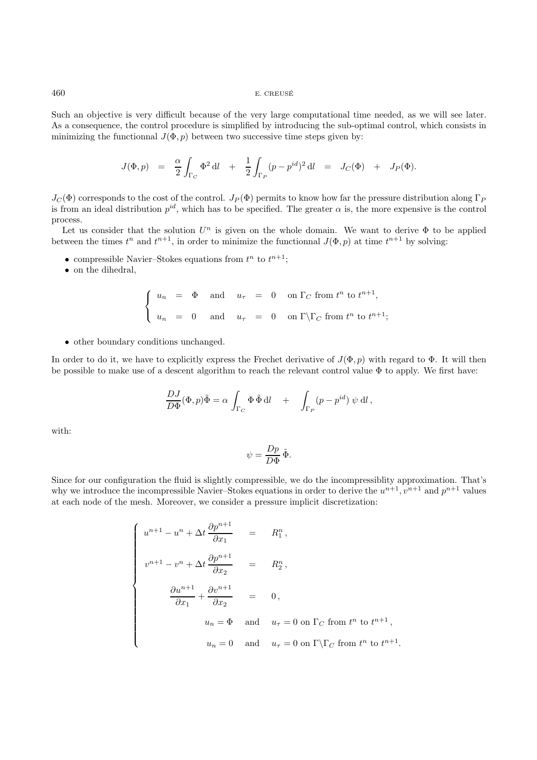460 E. CREUSE´

Such an objective is very difficult because of the very large computational time needed, as we will see later. As a consequence, the control procedure is simplified by introducing the sub-optimal control, which consists in minimizing the functionnal  $J(\Phi, p)$  between two successive time steps given by:

$$
J(\Phi, p) \;\; = \;\; \frac{\alpha}{2} \int_{\Gamma_C} \Phi^2 \, \mathrm{d}l \;\; + \;\; \frac{1}{2} \int_{\Gamma_P} (p - p^{id})^2 \, \mathrm{d}l \;\; = \;\; J_C(\Phi) \;\; + \;\; J_P(\Phi).
$$

 $J_C(\Phi)$  corresponds to the cost of the control.  $J_P(\Phi)$  permits to know how far the pressure distribution along  $\Gamma_P$ is from an ideal distribution  $p^{id}$ , which has to be specified. The greater  $\alpha$  is, the more expensive is the control process.

Let us consider that the solution  $U^n$  is given on the whole domain. We want to derive  $\Phi$  to be applied between the times  $t^n$  and  $t^{n+1}$ , in order to minimize the functionnal  $J(\Phi, p)$  at time  $t^{n+1}$  by solving:

- compressible Navier–Stokes equations from  $t^n$  to  $t^{n+1}$ ;
- on the dihedral,

$$
\begin{cases}\nu_n = \Phi \text{ and } u_\tau = 0 \text{ on } \Gamma_C \text{ from } t^n \text{ to } t^{n+1}, \\
u_n = 0 \text{ and } u_\tau = 0 \text{ on } \Gamma \backslash \Gamma_C \text{ from } t^n \text{ to } t^{n+1};\n\end{cases}
$$

• other boundary conditions unchanged.

In order to do it, we have to explicitly express the Frechet derivative of  $J(\Phi, p)$  with regard to  $\Phi$ . It will then be possible to make use of a descent algorithm to reach the relevant control value  $\Phi$  to apply. We first have:

$$
\frac{DJ}{D\Phi}(\Phi,p)\tilde{\Phi} = \alpha \, \int_{\Gamma_C} \Phi \, \tilde{\Phi} \, \text{d}l \quad + \quad \int_{\Gamma_P} (p - p^{id}) \; \psi \; \text{d}l \, ,
$$

with:

$$
\psi = \frac{Dp}{D\Phi} \, \tilde{\Phi}.
$$

Since for our configuration the fluid is slightly compressible, we do the incompressiblity approximation. That's why we introduce the incompressible Navier–Stokes equations in order to derive the  $u^{n+1}$ ,  $v^{n+1}$  and  $p^{n+1}$  values at each node of the mesh. Moreover, we consider a pressure implicit discretization:

$$
\begin{cases}\nu^{n+1} - u^n + \Delta t \frac{\partial p^{n+1}}{\partial x_1} = R_1^n, \\
v^{n+1} - v^n + \Delta t \frac{\partial p^{n+1}}{\partial x_2} = R_2^n, \\
\frac{\partial u^{n+1}}{\partial x_1} + \frac{\partial v^{n+1}}{\partial x_2} = 0, \\
u_n = \Phi \quad \text{and} \quad u_\tau = 0 \text{ on } \Gamma_C \text{ from } t^n \text{ to } t^{n+1}, \\
u_n = 0 \quad \text{and} \quad u_\tau = 0 \text{ on } \Gamma \backslash \Gamma_C \text{ from } t^n \text{ to } t^{n+1}.\n\end{cases}
$$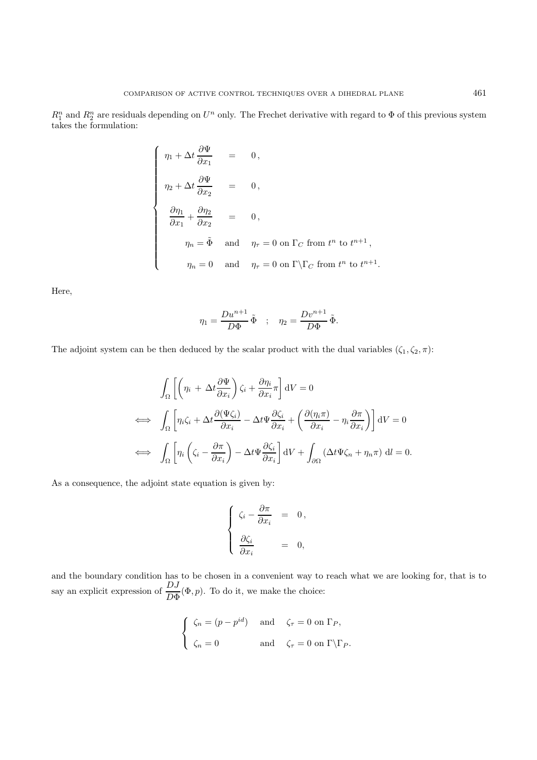$R_1^n$  and  $R_2^n$  are residuals depending on  $U^n$  only. The Frechet derivative with regard to  $\Phi$  of this previous system takes the formulation:

$$
\begin{cases}\n\eta_1 + \Delta t \frac{\partial \Psi}{\partial x_1} = 0, \\
\eta_2 + \Delta t \frac{\partial \Psi}{\partial x_2} = 0, \\
\frac{\partial \eta_1}{\partial x_1} + \frac{\partial \eta_2}{\partial x_2} = 0, \\
\eta_n = \tilde{\Phi} \quad \text{and} \quad \eta_\tau = 0 \text{ on } \Gamma_C \text{ from } t^n \text{ to } t^{n+1}, \\
\eta_n = 0 \quad \text{and} \quad \eta_\tau = 0 \text{ on } \Gamma \backslash \Gamma_C \text{ from } t^n \text{ to } t^{n+1}.\n\end{cases}
$$

Here,

$$
\eta_1 = \frac{D u^{n+1}}{D \Phi} \tilde{\Phi} \quad ; \quad \eta_2 = \frac{D v^{n+1}}{D \Phi} \tilde{\Phi}.
$$

The adjoint system can be then deduced by the scalar product with the dual variables  $(\zeta_1, \zeta_2, \pi)$ :

$$
\int_{\Omega} \left[ \left( \eta_i + \Delta t \frac{\partial \Psi}{\partial x_i} \right) \zeta_i + \frac{\partial \eta_i}{\partial x_i} \pi \right] dV = 0
$$
\n
$$
\iff \int_{\Omega} \left[ \eta_i \zeta_i + \Delta t \frac{\partial (\Psi \zeta_i)}{\partial x_i} - \Delta t \Psi \frac{\partial \zeta_i}{\partial x_i} + \left( \frac{\partial (\eta_i \pi)}{\partial x_i} - \eta_i \frac{\partial \pi}{\partial x_i} \right) \right] dV = 0
$$
\n
$$
\iff \int_{\Omega} \left[ \eta_i \left( \zeta_i - \frac{\partial \pi}{\partial x_i} \right) - \Delta t \Psi \frac{\partial \zeta_i}{\partial x_i} \right] dV + \int_{\partial \Omega} \left( \Delta t \Psi \zeta_n + \eta_n \pi \right) dI = 0.
$$

As a consequence, the adjoint state equation is given by:

$$
\begin{cases}\n\zeta_i - \frac{\partial \pi}{\partial x_i} = 0, \\
\frac{\partial \zeta_i}{\partial x_i} = 0,\n\end{cases}
$$

and the boundary condition has to be chosen in a convenient way to reach what we are looking for, that is to say an explicit expression of  $\frac{DJ}{D\Phi}(\Phi, p)$ . To do it, we make the choice:

$$
\begin{cases} \zeta_n = (p - p^{id}) & \text{and} \quad \zeta_{\tau} = 0 \text{ on } \Gamma_P, \\ \zeta_n = 0 & \text{and} \quad \zeta_{\tau} = 0 \text{ on } \Gamma \backslash \Gamma_P. \end{cases}
$$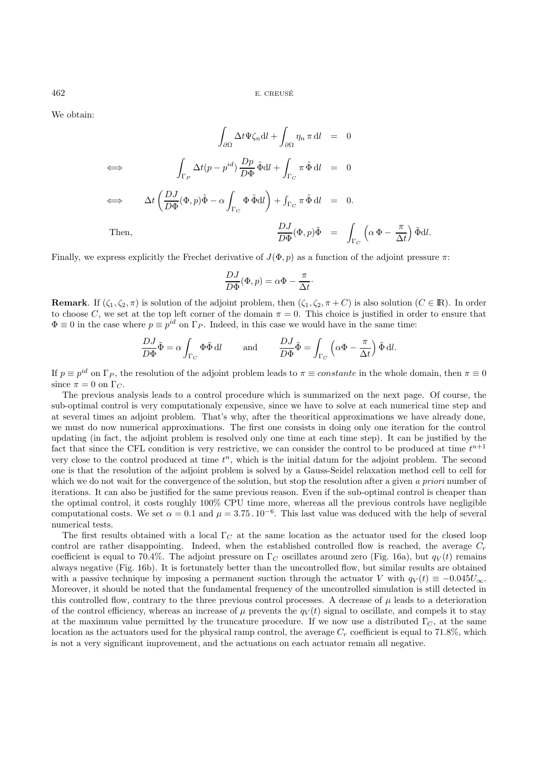We obtain:

$$
\int_{\partial\Omega} \Delta t \Psi \zeta_n \mathrm{d}l + \int_{\partial\Omega} \eta_n \pi \, \mathrm{d}l = 0
$$
\n
$$
\iff \qquad \int_{\Gamma_P} \Delta t (p - p^{id}) \frac{Dp}{D\Phi} \tilde{\Phi} \mathrm{d}l + \int_{\Gamma_C} \pi \tilde{\Phi} \, \mathrm{d}l = 0
$$
\n
$$
\iff \qquad \Delta t \left( \frac{DJ}{D\Phi} (\Phi, p) \tilde{\Phi} - \alpha \int_{\Gamma_C} \Phi \, \tilde{\Phi} \mathrm{d}l \right) + \int_{\Gamma_C} \pi \, \tilde{\Phi} \, \mathrm{d}l = 0.
$$
\nThen,\n
$$
\frac{DJ}{D\Phi} (\Phi, p) \tilde{\Phi} = \int_{\Gamma_C} \left( \alpha \, \Phi - \frac{\pi}{\Delta t} \right) \tilde{\Phi} \mathrm{d}l.
$$

Finally, we express explicitly the Frechet derivative of  $J(\Phi, p)$  as a function of the adjoint pressure  $\pi$ :

$$
\frac{DJ}{D\Phi}(\Phi, p) = \alpha \Phi - \frac{\pi}{\Delta t}
$$

·

**Remark**. If  $(\zeta_1, \zeta_2, \pi)$  is solution of the adjoint problem, then  $(\zeta_1, \zeta_2, \pi + C)$  is also solution  $(C \in \mathbb{R})$ . In order to choose C, we set at the top left corner of the domain  $\pi = 0$ . This choice is justified in order to ensure that  $\Phi \equiv 0$  in the case where  $p \equiv p^{id}$  on  $\Gamma_P$ . Indeed, in this case we would have in the same time:

$$
\frac{DJ}{D\Phi}\tilde{\Phi} = \alpha \int_{\Gamma_C} \Phi \tilde{\Phi} \, \mathrm{d}l \qquad \text{and} \qquad \frac{DJ}{D\Phi}\tilde{\Phi} = \int_{\Gamma_C} \left( \alpha \Phi - \frac{\pi}{\Delta t} \right) \tilde{\Phi} \, \mathrm{d}l.
$$

If  $p \equiv p^{id}$  on  $\Gamma_P$ , the resolution of the adjoint problem leads to  $\pi \equiv constante$  in the whole domain, then  $\pi \equiv 0$ since  $\pi = 0$  on  $\Gamma_C$ .

The previous analysis leads to a control procedure which is summarized on the next page. Of course, the sub-optimal control is very computationaly expensive, since we have to solve at each numerical time step and at several times an adjoint problem. That's why, after the theoritical approximations we have already done, we must do now numerical approximations. The first one consists in doing only one iteration for the control updating (in fact, the adjoint problem is resolved only one time at each time step). It can be justified by the fact that since the CFL condition is very restrictive, we can consider the control to be produced at time  $t^{n+1}$ very close to the control produced at time  $t^n$ , which is the initial datum for the adjoint problem. The second one is that the resolution of the adjoint problem is solved by a Gauss-Seidel relaxation method cell to cell for which we do not wait for the convergence of the solution, but stop the resolution after a given a priori number of iterations. It can also be justified for the same previous reason. Even if the sub-optimal control is cheaper than the optimal control, it costs roughly 100% CPU time more, whereas all the previous controls have negligible computational costs. We set  $\alpha = 0.1$  and  $\mu = 3.75 \cdot 10^{-6}$ . This last value was deduced with the help of several numerical tests.

The first results obtained with a local  $\Gamma_C$  at the same location as the actuator used for the closed loop control are rather disappointing. Indeed, when the established controlled flow is reached, the average  $C_r$ coefficient is equal to 70.4%. The adjoint pressure on  $\Gamma_C$  oscillates around zero (Fig. 16a), but  $q_V(t)$  remains always negative (Fig. 16b). It is fortunately better than the uncontrolled flow, but similar results are obtained with a passive technique by imposing a permanent suction through the actuator V with  $q_V(t) \equiv -0.045U_{\infty}$ . Moreover, it should be noted that the fundamental frequency of the uncontrolled simulation is still detected in this controlled flow, contrary to the three previous control processes. A decrease of  $\mu$  leads to a deterioration of the control efficiency, whereas an increase of  $\mu$  prevents the  $q_V(t)$  signal to oscillate, and compels it to stay at the maximum value permitted by the truncature procedure. If we now use a distributed  $\Gamma_C$ , at the same location as the actuators used for the physical ramp control, the average  $C_r$  coefficient is equal to 71.8%, which is not a very significant improvement, and the actuations on each actuator remain all negative.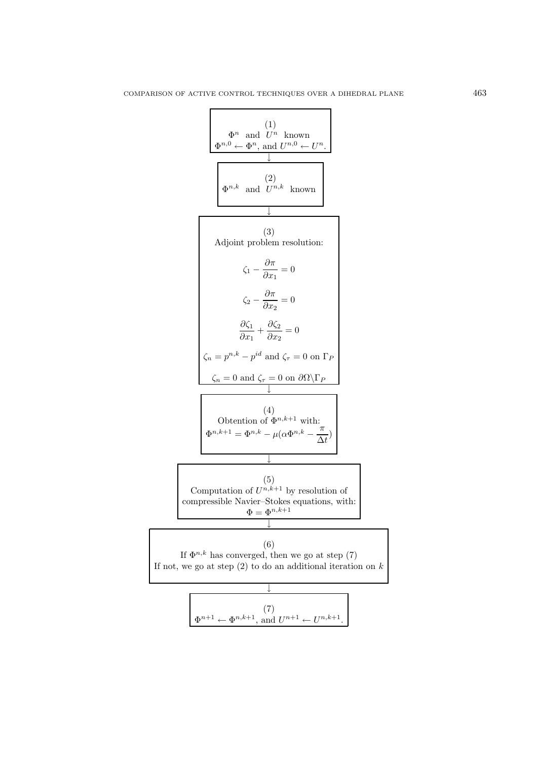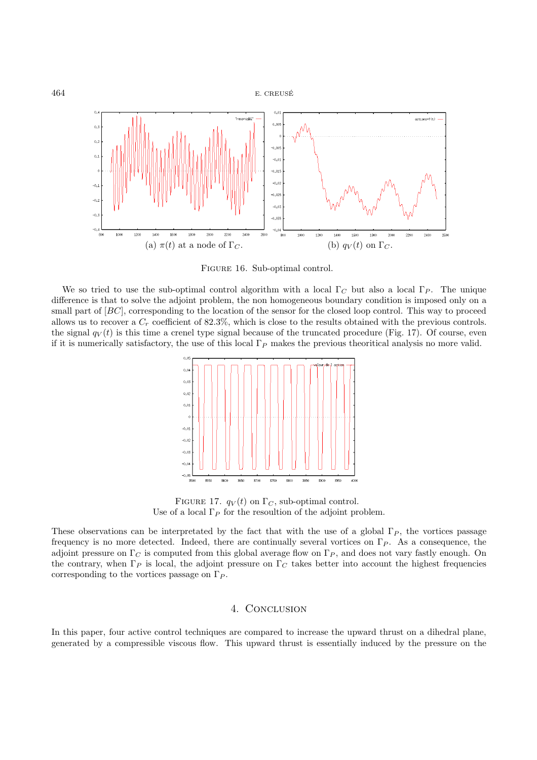



Figure 16. Sub-optimal control.

We so tried to use the sub-optimal control algorithm with a local  $\Gamma_C$  but also a local  $\Gamma_P$ . The unique difference is that to solve the adjoint problem, the non homogeneous boundary condition is imposed only on a small part of  $[BC]$ , corresponding to the location of the sensor for the closed loop control. This way to proceed allows us to recover a  $C_r$  coefficient of 82.3%, which is close to the results obtained with the previous controls. the signal  $q_V(t)$  is this time a crenel type signal because of the truncated procedure (Fig. 17). Of course, even if it is numerically satisfactory, the use of this local  $\Gamma_P$  makes the previous theoritical analysis no more valid.



FIGURE 17.  $q_V(t)$  on  $\Gamma_C$ , sub-optimal control. Use of a local  $\Gamma_P$  for the resoultion of the adjoint problem.

These observations can be interpretated by the fact that with the use of a global  $\Gamma_P$ , the vortices passage frequency is no more detected. Indeed, there are continually several vortices on  $\Gamma_P$ . As a consequence, the adjoint pressure on  $\Gamma_C$  is computed from this global average flow on  $\Gamma_P$ , and does not vary fastly enough. On the contrary, when  $\Gamma_P$  is local, the adjoint pressure on  $\Gamma_C$  takes better into account the highest frequencies corresponding to the vortices passage on  $\Gamma_P$ .

# 4. Conclusion

In this paper, four active control techniques are compared to increase the upward thrust on a dihedral plane, generated by a compressible viscous flow. This upward thrust is essentially induced by the pressure on the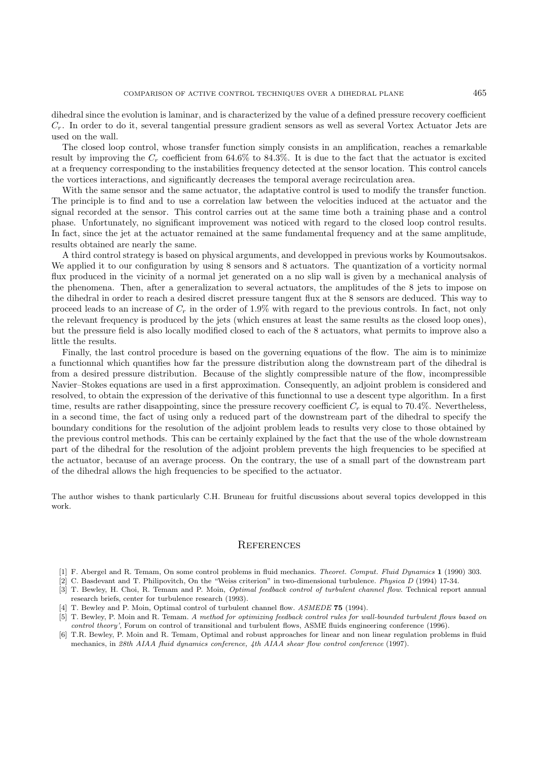dihedral since the evolution is laminar, and is characterized by the value of a defined pressure recovery coefficient  $C_r$ . In order to do it, several tangential pressure gradient sensors as well as several Vortex Actuator Jets are used on the wall.

The closed loop control, whose transfer function simply consists in an amplification, reaches a remarkable result by improving the  $C_r$  coefficient from 64.6% to 84.3%. It is due to the fact that the actuator is excited at a frequency corresponding to the instabilities frequency detected at the sensor location. This control cancels the vortices interactions, and significantly decreases the temporal average recirculation area.

With the same sensor and the same actuator, the adaptative control is used to modify the transfer function. The principle is to find and to use a correlation law between the velocities induced at the actuator and the signal recorded at the sensor. This control carries out at the same time both a training phase and a control phase. Unfortunately, no significant improvement was noticed with regard to the closed loop control results. In fact, since the jet at the actuator remained at the same fundamental frequency and at the same amplitude, results obtained are nearly the same.

A third control strategy is based on physical arguments, and developped in previous works by Koumoutsakos. We applied it to our configuration by using 8 sensors and 8 actuators. The quantization of a vorticity normal flux produced in the vicinity of a normal jet generated on a no slip wall is given by a mechanical analysis of the phenomena. Then, after a generalization to several actuators, the amplitudes of the 8 jets to impose on the dihedral in order to reach a desired discret pressure tangent flux at the 8 sensors are deduced. This way to proceed leads to an increase of  $C_r$  in the order of 1.9% with regard to the previous controls. In fact, not only the relevant frequency is produced by the jets (which ensures at least the same results as the closed loop ones), but the pressure field is also locally modified closed to each of the 8 actuators, what permits to improve also a little the results.

Finally, the last control procedure is based on the governing equations of the flow. The aim is to minimize a functionnal which quantifies how far the pressure distribution along the downstream part of the dihedral is from a desired pressure distribution. Because of the slightly compressible nature of the flow, incompressible Navier–Stokes equations are used in a first approximation. Consequently, an adjoint problem is considered and resolved, to obtain the expression of the derivative of this functionnal to use a descent type algorithm. In a first time, results are rather disappointing, since the pressure recovery coefficient  $C_r$  is equal to 70.4%. Nevertheless, in a second time, the fact of using only a reduced part of the downstream part of the dihedral to specify the boundary conditions for the resolution of the adjoint problem leads to results very close to those obtained by the previous control methods. This can be certainly explained by the fact that the use of the whole downstream part of the dihedral for the resolution of the adjoint problem prevents the high frequencies to be specified at the actuator, because of an average process. On the contrary, the use of a small part of the downstream part of the dihedral allows the high frequencies to be specified to the actuator.

The author wishes to thank particularly C.H. Bruneau for fruitful discussions about several topics developped in this work.

### **REFERENCES**

- [1] F. Abergel and R. Temam, On some control problems in fluid mechanics. Theoret. Comput. Fluid Dynamics **1** (1990) 303.
- [2] C. Basdevant and T. Philipovitch, On the "Weiss criterion" in two-dimensional turbulence. Physica D (1994) 17-34.
- [3] T. Bewley, H. Choi, R. Temam and P. Moin, *Optimal feedback control of turbulent channel flow*. Technical report annual research briefs, center for turbulence research (1993).
- [4] T. Bewley and P. Moin, Optimal control of turbulent channel flow. ASMEDE **75** (1994).
- [5] T. Bewley, P. Moin and R. Temam. A method for optimizing feedback control rules for wall-bounded turbulent flows based on control theory', Forum on control of transitional and turbulent flows, ASME fluids engineering conference (1996).
- [6] T.R. Bewley, P. Moin and R. Temam, Optimal and robust approaches for linear and non linear regulation problems in fluid mechanics, in 28th AIAA fluid dynamics conference, 4th AIAA shear flow control conference (1997).